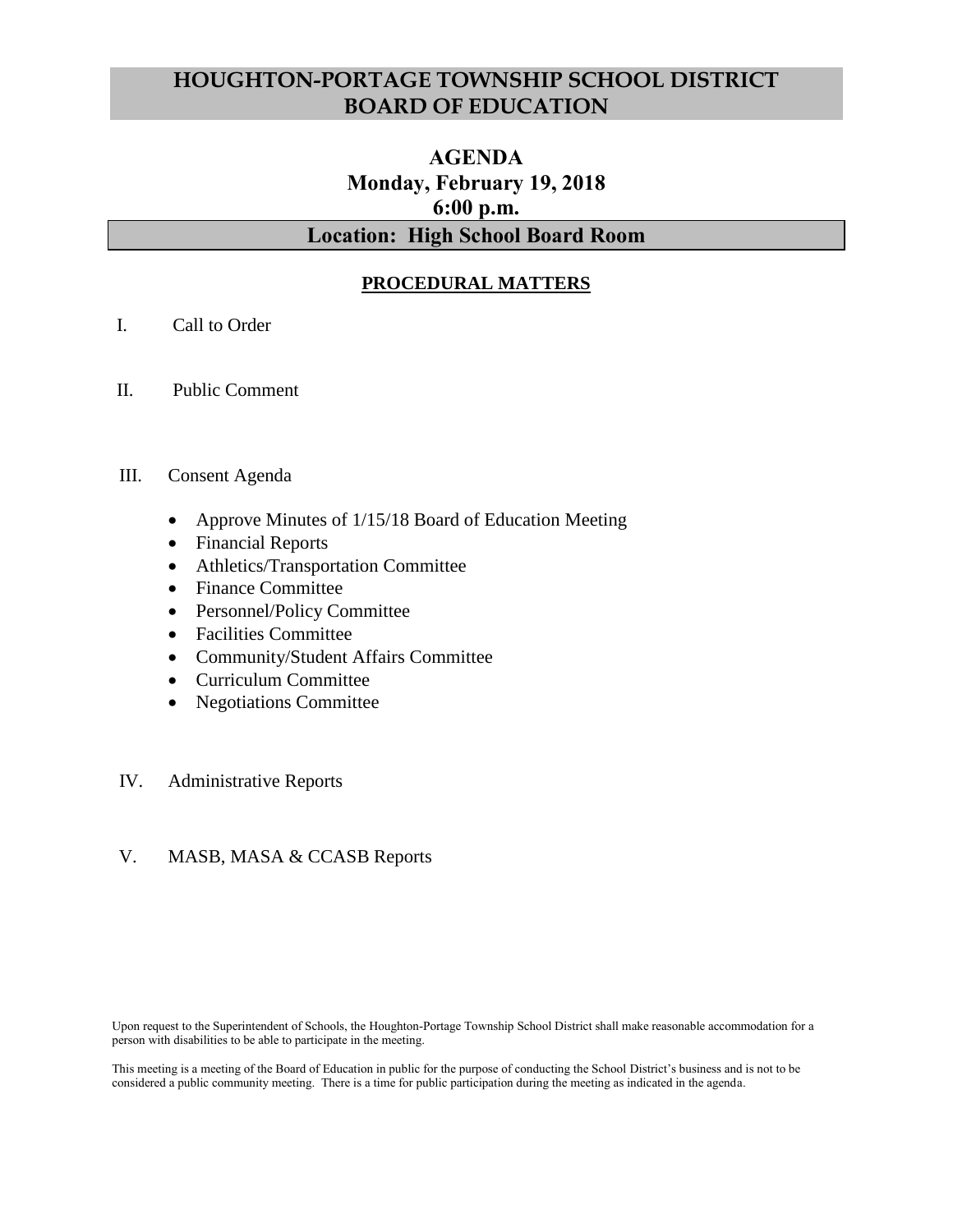# **HOUGHTON-PORTAGE TOWNSHIP SCHOOL DISTRICT BOARD OF EDUCATION**

# **AGENDA Monday, February 19, 2018 6:00 p.m. Location: High School Board Room**

## **PROCEDURAL MATTERS**

- I. Call to Order
- II. Public Comment

#### III. Consent Agenda

- Approve Minutes of 1/15/18 Board of Education Meeting
- Financial Reports
- Athletics/Transportation Committee
- Finance Committee
- Personnel/Policy Committee
- Facilities Committee
- Community/Student Affairs Committee
- Curriculum Committee
- Negotiations Committee

### IV. Administrative Reports

### V. MASB, MASA & CCASB Reports

Upon request to the Superintendent of Schools, the Houghton-Portage Township School District shall make reasonable accommodation for a person with disabilities to be able to participate in the meeting.

This meeting is a meeting of the Board of Education in public for the purpose of conducting the School District's business and is not to be considered a public community meeting. There is a time for public participation during the meeting as indicated in the agenda.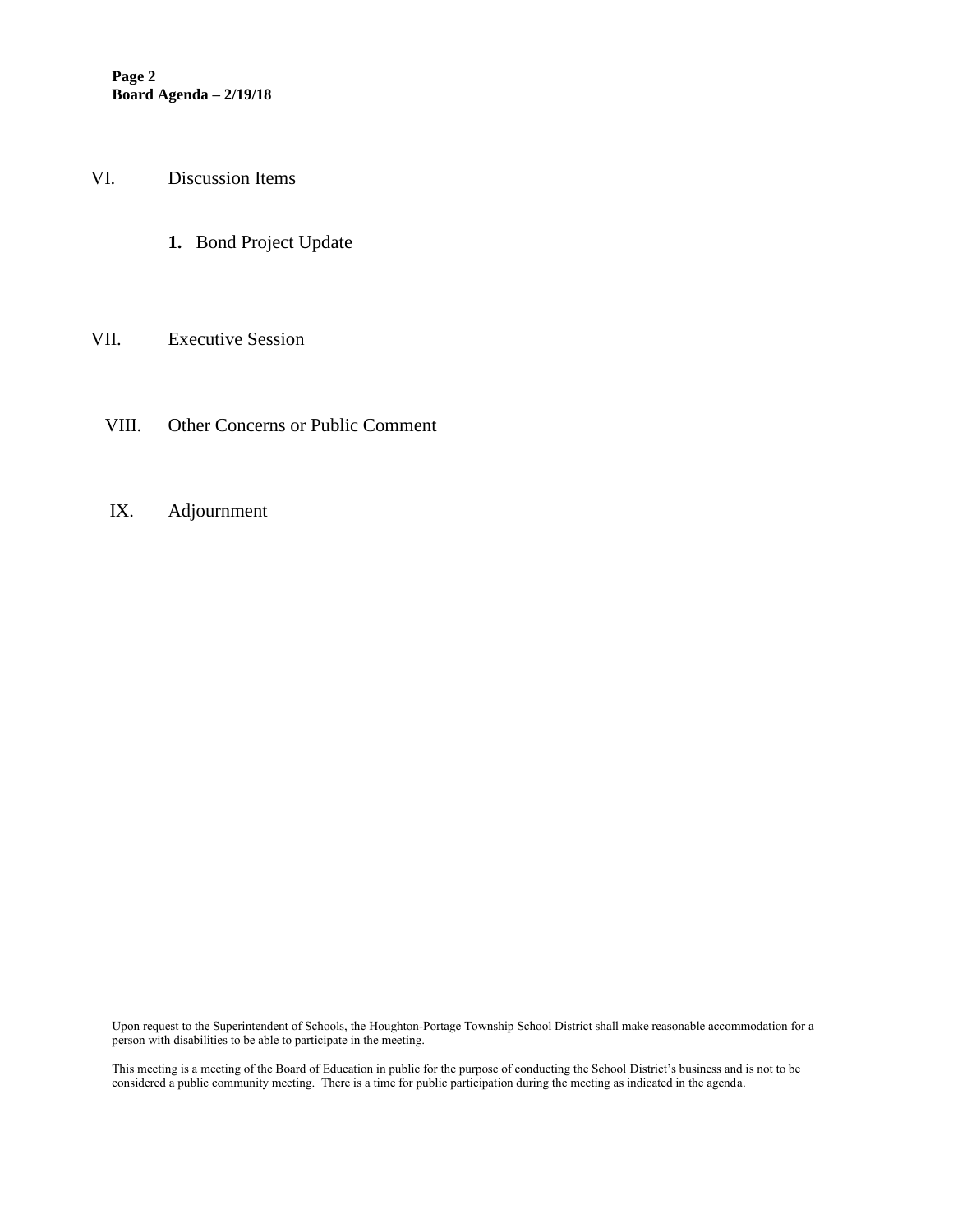**Page 2 Board Agenda – 2/19/18**

VI. Discussion Items

**1.** Bond Project Update

#### VII. Executive Session

- VIII. Other Concerns or Public Comment
- IX. Adjournment

Upon request to the Superintendent of Schools, the Houghton-Portage Township School District shall make reasonable accommodation for a person with disabilities to be able to participate in the meeting.

This meeting is a meeting of the Board of Education in public for the purpose of conducting the School District's business and is not to be considered a public community meeting. There is a time for public participation during the meeting as indicated in the agenda.